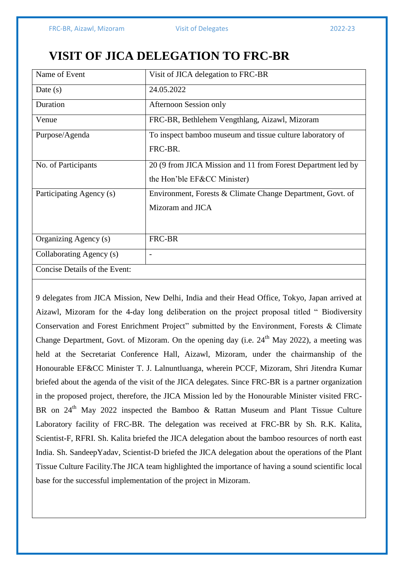## **VISIT OF JICA DELEGATION TO FRC-BR**

| Name of Event                 | Visit of JICA delegation to FRC-BR                           |
|-------------------------------|--------------------------------------------------------------|
|                               | 24.05.2022                                                   |
| Date $(s)$                    |                                                              |
| Duration                      | Afternoon Session only                                       |
|                               |                                                              |
| Venue                         | FRC-BR, Bethlehem Vengthlang, Aizawl, Mizoram                |
|                               |                                                              |
| Purpose/Agenda                | To inspect bamboo museum and tissue culture laboratory of    |
|                               | FRC-BR.                                                      |
|                               |                                                              |
| No. of Participants           | 20 (9 from JICA Mission and 11 from Forest Department led by |
|                               |                                                              |
|                               | the Hon'ble EF&CC Minister)                                  |
|                               |                                                              |
| Participating Agency (s)      | Environment, Forests & Climate Change Department, Govt. of   |
|                               | Mizoram and JICA                                             |
|                               |                                                              |
|                               |                                                              |
|                               |                                                              |
| Organizing Agency (s)         | FRC-BR                                                       |
|                               |                                                              |
| Collaborating Agency (s)      | $\overline{\phantom{0}}$                                     |
|                               |                                                              |
| Concise Details of the Event: |                                                              |
|                               |                                                              |

9 delegates from JICA Mission, New Delhi, India and their Head Office, Tokyo, Japan arrived at Aizawl, Mizoram for the 4-day long deliberation on the project proposal titled " Biodiversity Conservation and Forest Enrichment Project" submitted by the Environment, Forests & Climate Change Department, Govt. of Mizoram. On the opening day (i.e.  $24<sup>th</sup>$  May 2022), a meeting was held at the Secretariat Conference Hall, Aizawl, Mizoram, under the chairmanship of the Honourable EF&CC Minister T. J. Lalnuntluanga, wherein PCCF, Mizoram, Shri Jitendra Kumar briefed about the agenda of the visit of the JICA delegates. Since FRC-BR is a partner organization in the proposed project, therefore, the JICA Mission led by the Honourable Minister visited FRC-BR on 24<sup>th</sup> May 2022 inspected the Bamboo & Rattan Museum and Plant Tissue Culture Laboratory facility of FRC-BR. The delegation was received at FRC-BR by Sh. R.K. Kalita, Scientist-F, RFRI. Sh. Kalita briefed the JICA delegation about the bamboo resources of north east India. Sh. SandeepYadav, Scientist-D briefed the JICA delegation about the operations of the Plant Tissue Culture Facility.The JICA team highlighted the importance of having a sound scientific local base for the successful implementation of the project in Mizoram.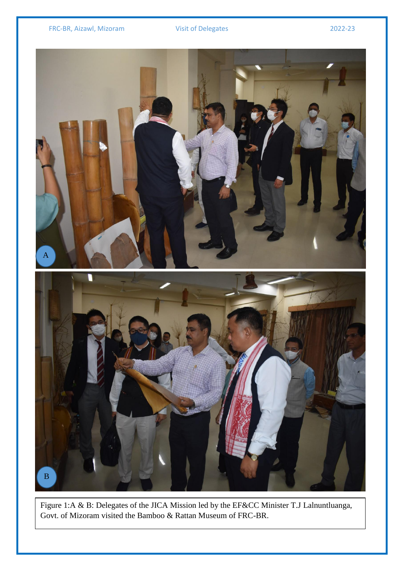

Figure 1:A & B: Delegates of the JICA Mission led by the EF&CC Minister T.J Lalnuntluanga, Govt. of Mizoram visited the Bamboo & Rattan Museum of FRC-BR.